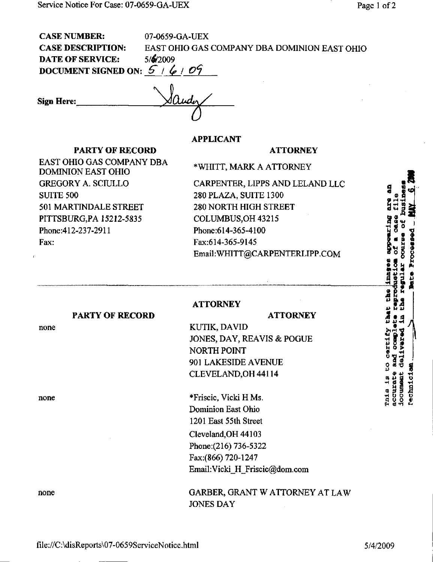| <b>CASE NUMBER:</b>          | 07-0659-GA-UEX                               |
|------------------------------|----------------------------------------------|
| <b>CASE DESCRIPTION:</b>     | EAST OHIO GAS COMPANY DBA DOMINION EAST OHIO |
| <b>DATE OF SERVICE:</b>      | 5/6/2009                                     |
| DOCUMENT SIGNED ON: $5/6/09$ |                                              |
| <b>Sign Here:</b>            |                                              |
|                              |                                              |

APPLICANT

**ATTORNEY** 

## PARTY OF RECORD

EAST OHIO GAS COMPANY DBA DOMINION EAST OHIO GREGORY A. SCIULLO SUITE 500 501 MARTINDALE STREET PITTSBURG,PA 15212-5835 Phone:412-237-2911 Fax:

\*WHITT, MARK A ATTORNEY

CARPENTER, LIPPS AND LELAND LLC 280 PLAZA, SUITE 1300 280 NORTH HIGH STREET COLUMBUS,OH 43215 Phone:614-365-4100 Fax:614-365-9145 Email[:WHITT@CARPENTERLIPP.COM](mailto:WHITT@CARPENTERLIPP.COM) 

**ATTORNEY** 

ATTORNEY

## PARTY OF RECORD

none

none

KUTIK, DAVID JONES, DAY, REAVIS & POGUE NORTH POINT 901 LAKESIDE AVENUE CLEVELAND,OH44114

\*Friscic, Vicki H Ms. Dominion East Ohio 1201 East 55th Street Cleveland,OH 44103 Phone: (216) 736-5322 Fax:(866) 720-1247 Email[:Vicki\\_H\\_Friscic@dom.com](mailto:Vicki_H_Friscic@dom.com) 

none GARBER, GRANT W ATTORNEY AT LAW JONES DAY